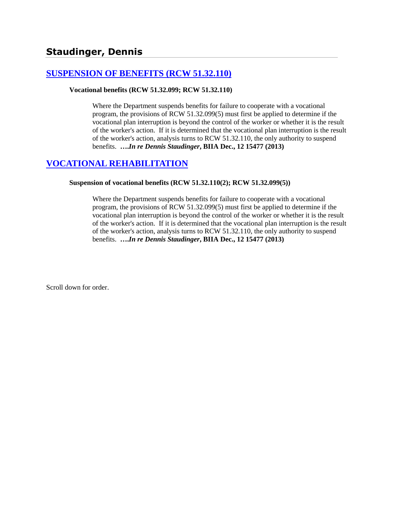# **[SUSPENSION OF BENEFITS \(RCW 51.32.110\)](http://www.biia.wa.gov/SDSubjectIndex.html#SUSPENSION_OF_BENEFITS)**

#### **Vocational benefits (RCW 51.32.099; RCW 51.32.110)**

Where the Department suspends benefits for failure to cooperate with a vocational program, the provisions of RCW 51.32.099(5) must first be applied to determine if the vocational plan interruption is beyond the control of the worker or whether it is the result of the worker's action. If it is determined that the vocational plan interruption is the result of the worker's action, analysis turns to RCW 51.32.110, the only authority to suspend benefits. **….***In re Dennis Staudinger***, BIIA Dec., 12 15477 (2013)**

# **[VOCATIONAL REHABILITATION](http://www.biia.wa.gov/SDSubjectIndex.html#VOCATIONAL_REHABILITATION)**

#### **Suspension of vocational benefits (RCW 51.32.110(2); RCW 51.32.099(5))**

Where the Department suspends benefits for failure to cooperate with a vocational program, the provisions of RCW 51.32.099(5) must first be applied to determine if the vocational plan interruption is beyond the control of the worker or whether it is the result of the worker's action. If it is determined that the vocational plan interruption is the result of the worker's action, analysis turns to RCW 51.32.110, the only authority to suspend benefits. **….***In re Dennis Staudinger***, BIIA Dec., 12 15477 (2013)**

Scroll down for order.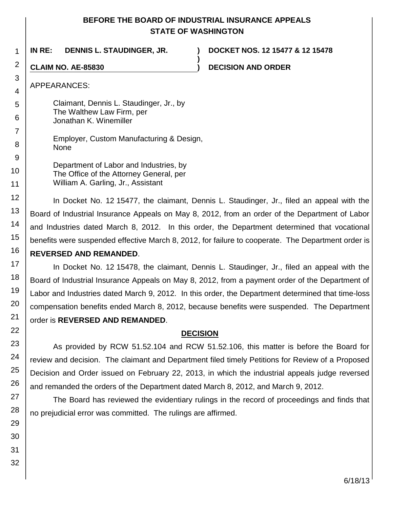# **BEFORE THE BOARD OF INDUSTRIAL INSURANCE APPEALS STATE OF WASHINGTON**

**)**

1 **IN RE: DENNIS L. STAUDINGER, JR. ) DOCKET NOS. 12 15477 & 12 15478**

**CLAIM NO. AE-85830 ) DECISION AND ORDER**

### APPEARANCES:

Claimant, Dennis L. Staudinger, Jr., by The Walthew Law Firm, per Jonathan K. Winemiller

Employer, Custom Manufacturing & Design, None

Department of Labor and Industries, by The Office of the Attorney General, per William A. Garling, Jr., Assistant

In Docket No. 12 15477, the claimant, Dennis L. Staudinger, Jr., filed an appeal with the Board of Industrial Insurance Appeals on May 8, 2012, from an order of the Department of Labor and Industries dated March 8, 2012. In this order, the Department determined that vocational benefits were suspended effective March 8, 2012, for failure to cooperate. The Department order is

# **REVERSED AND REMANDED**.

In Docket No. 12 15478, the claimant, Dennis L. Staudinger, Jr., filed an appeal with the Board of Industrial Insurance Appeals on May 8, 2012, from a payment order of the Department of Labor and Industries dated March 9, 2012. In this order, the Department determined that time-loss compensation benefits ended March 8, 2012, because benefits were suspended. The Department order is **REVERSED AND REMANDED**.

# **DECISION**

As provided by RCW 51.52.104 and RCW 51.52.106, this matter is before the Board for review and decision. The claimant and Department filed timely Petitions for Review of a Proposed Decision and Order issued on February 22, 2013, in which the industrial appeals judge reversed and remanded the orders of the Department dated March 8, 2012, and March 9, 2012.

The Board has reviewed the evidentiary rulings in the record of proceedings and finds that no prejudicial error was committed. The rulings are affirmed.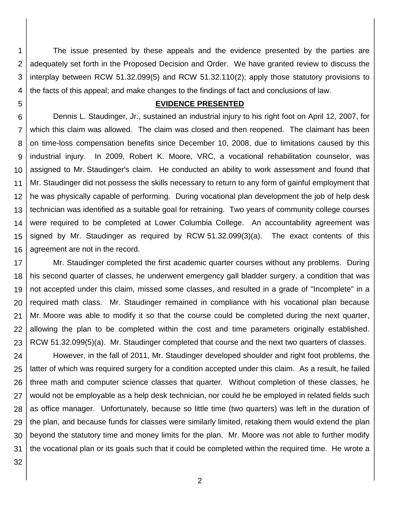1 2 3 4 The issue presented by these appeals and the evidence presented by the parties are adequately set forth in the Proposed Decision and Order. We have granted review to discuss the interplay between RCW 51.32.099(5) and RCW 51.32.110(2); apply those statutory provisions to the facts of this appeal; and make changes to the findings of fact and conclusions of law.

5

#### **EVIDENCE PRESENTED**

6 7 8 9 10 11 12 13 14 15 16 Dennis L. Staudinger, Jr., sustained an industrial injury to his right foot on April 12, 2007, for which this claim was allowed. The claim was closed and then reopened. The claimant has been on time-loss compensation benefits since December 10, 2008, due to limitations caused by this industrial injury. In 2009, Robert K. Moore, VRC, a vocational rehabilitation counselor, was assigned to Mr. Staudinger's claim. He conducted an ability to work assessment and found that Mr. Staudinger did not possess the skills necessary to return to any form of gainful employment that he was physically capable of performing. During vocational plan development the job of help desk technician was identified as a suitable goal for retraining. Two years of community college courses were required to be completed at Lower Columbia College. An accountability agreement was signed by Mr. Staudinger as required by RCW 51.32.099(3)(a). The exact contents of this agreement are not in the record.

17 18 19 20 21 22 23 Mr. Staudinger completed the first academic quarter courses without any problems. During his second quarter of classes, he underwent emergency gall bladder surgery, a condition that was not accepted under this claim, missed some classes, and resulted in a grade of "Incomplete" in a required math class. Mr. Staudinger remained in compliance with his vocational plan because Mr. Moore was able to modify it so that the course could be completed during the next quarter, allowing the plan to be completed within the cost and time parameters originally established. RCW 51.32.099(5)(a). Mr. Staudinger completed that course and the next two quarters of classes.

24 25 26 27 28 29 30 31 However, in the fall of 2011, Mr. Staudinger developed shoulder and right foot problems, the latter of which was required surgery for a condition accepted under this claim. As a result, he failed three math and computer science classes that quarter. Without completion of these classes, he would not be employable as a help desk technician, nor could he be employed in related fields such as office manager. Unfortunately, because so little time (two quarters) was left in the duration of the plan, and because funds for classes were similarly limited, retaking them would extend the plan beyond the statutory time and money limits for the plan. Mr. Moore was not able to further modify the vocational plan or its goals such that it could be completed within the required time. He wrote a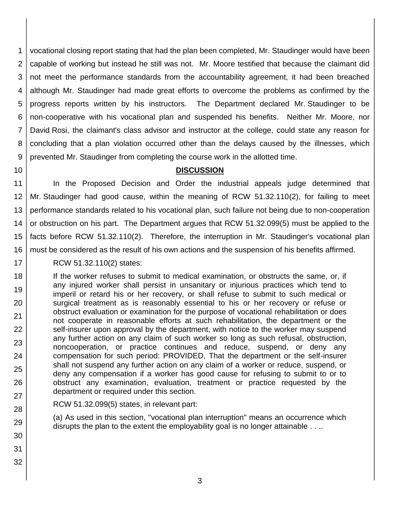1 2 3 4 5 6 7 8 9 vocational closing report stating that had the plan been completed, Mr. Staudinger would have been capable of working but instead he still was not. Mr. Moore testified that because the claimant did not meet the performance standards from the accountability agreement, it had been breached although Mr. Staudinger had made great efforts to overcome the problems as confirmed by the progress reports written by his instructors. The Department declared Mr. Staudinger to be non-cooperative with his vocational plan and suspended his benefits. Neither Mr. Moore, nor David Rosi, the claimant's class advisor and instructor at the college, could state any reason for concluding that a plan violation occurred other than the delays caused by the illnesses, which prevented Mr. Staudinger from completing the course work in the allotted time.

10

# **DISCUSSION**

11 12 13 14 15 16 In the Proposed Decision and Order the industrial appeals judge determined that Mr. Staudinger had good cause, within the meaning of RCW 51.32.110(2), for failing to meet performance standards related to his vocational plan, such failure not being due to non-cooperation or obstruction on his part. The Department argues that RCW 51.32.099(5) must be applied to the facts before RCW 51.32.110(2). Therefore, the interruption in Mr. Staudinger's vocational plan must be considered as the result of his own actions and the suspension of his benefits affirmed.

17 RCW 51.32.110(2) states:

18 19 20 21 22 23 24 25 26 27 If the worker refuses to submit to medical examination, or obstructs the same, or, if any injured worker shall persist in unsanitary or injurious practices which tend to imperil or retard his or her recovery, or shall refuse to submit to such medical or surgical treatment as is reasonably essential to his or her recovery or refuse or obstruct evaluation or examination for the purpose of vocational rehabilitation or does not cooperate in reasonable efforts at such rehabilitation, the department or the self-insurer upon approval by the department, with notice to the worker may suspend any further action on any claim of such worker so long as such refusal, obstruction, noncooperation, or practice continues and reduce, suspend, or deny any compensation for such period: PROVIDED, That the department or the self-insurer shall not suspend any further action on any claim of a worker or reduce, suspend, or deny any compensation if a worker has good cause for refusing to submit to or to obstruct any examination, evaluation, treatment or practice requested by the department or required under this section.

RCW 51.32.099(5) states, in relevant part:

(a) As used in this section, "vocational plan interruption" means an occurrence which disrupts the plan to the extent the employability goal is no longer attainable . . ..

30 31 32

28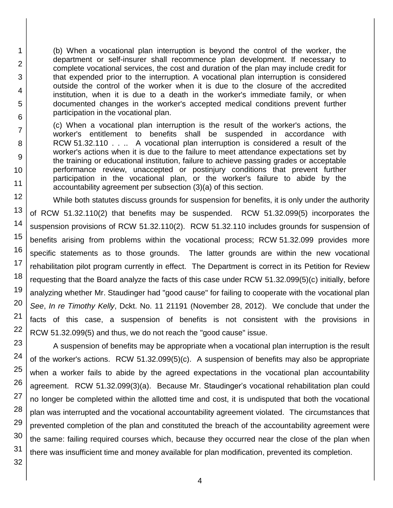(b) When a vocational plan interruption is beyond the control of the worker, the department or self-insurer shall recommence plan development. If necessary to complete vocational services, the cost and duration of the plan may include credit for that expended prior to the interruption. A vocational plan interruption is considered outside the control of the worker when it is due to the closure of the accredited institution, when it is due to a death in the worker's immediate family, or when documented changes in the worker's accepted medical conditions prevent further participation in the vocational plan.

(c) When a vocational plan interruption is the result of the worker's actions, the worker's entitlement to benefits shall be suspended in accordance with RCW 51.32.110 . . . A vocational plan interruption is considered a result of the worker's actions when it is due to the failure to meet attendance expectations set by the training or educational institution, failure to achieve passing grades or acceptable performance review, unaccepted or postinjury conditions that prevent further participation in the vocational plan, or the worker's failure to abide by the accountability agreement per subsection (3)(a) of this section.

While both statutes discuss grounds for suspension for benefits, it is only under the authority of RCW 51.32.110(2) that benefits may be suspended. RCW 51.32.099(5) incorporates the suspension provisions of RCW 51.32.110(2). RCW 51.32.110 includes grounds for suspension of benefits arising from problems within the vocational process; RCW 51.32.099 provides more specific statements as to those grounds. The latter grounds are within the new vocational rehabilitation pilot program currently in effect. The Department is correct in its Petition for Review requesting that the Board analyze the facts of this case under RCW 51.32.099(5)(c) initially, before analyzing whether Mr. Staudinger had "good cause" for failing to cooperate with the vocational plan *See*, *In re Timothy Kelly*, Dckt. No. 11 21191 (November 28, 2012). We conclude that under the facts of this case, a suspension of benefits is not consistent with the provisions in RCW 51.32.099(5) and thus, we do not reach the "good cause" issue.

23 A suspension of benefits may be appropriate when a vocational plan interruption is the result of the worker's actions. RCW 51.32.099(5)(c). A suspension of benefits may also be appropriate when a worker fails to abide by the agreed expectations in the vocational plan accountability agreement. RCW 51.32.099(3)(a). Because Mr. Staudinger's vocational rehabilitation plan could no longer be completed within the allotted time and cost, it is undisputed that both the vocational plan was interrupted and the vocational accountability agreement violated. The circumstances that prevented completion of the plan and constituted the breach of the accountability agreement were the same: failing required courses which, because they occurred near the close of the plan when there was insufficient time and money available for plan modification, prevented its completion.

31 32

1

2

3

4

5

6

7

8

9

10

11 12

13

14

15

16

17

18

19

20

21

22

24

25

26

27

28

29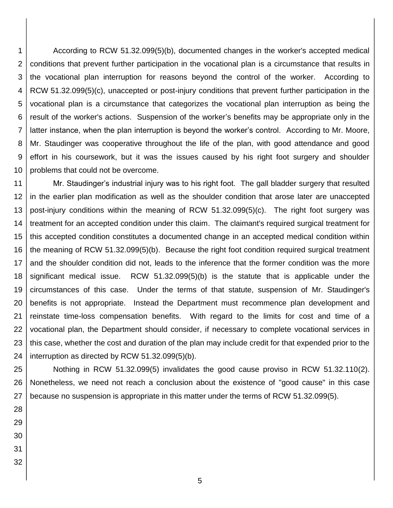1 2 3 4 5 6 7 8 9 10 According to RCW 51.32.099(5)(b), documented changes in the worker's accepted medical conditions that prevent further participation in the vocational plan is a circumstance that results in the vocational plan interruption for reasons beyond the control of the worker. According to RCW 51.32.099(5)(c), unaccepted or post-injury conditions that prevent further participation in the vocational plan is a circumstance that categorizes the vocational plan interruption as being the result of the worker's actions. Suspension of the worker's benefits may be appropriate only in the latter instance, when the plan interruption is beyond the worker's control. According to Mr. Moore, Mr. Staudinger was cooperative throughout the life of the plan, with good attendance and good effort in his coursework, but it was the issues caused by his right foot surgery and shoulder problems that could not be overcome.

11 12 13 14 15 16 17 18 19 20 21 22 23 24 Mr. Staudinger's industrial injury was to his right foot. The gall bladder surgery that resulted in the earlier plan modification as well as the shoulder condition that arose later are unaccepted post-injury conditions within the meaning of RCW 51.32.099(5)(c). The right foot surgery was treatment for an accepted condition under this claim. The claimant's required surgical treatment for this accepted condition constitutes a documented change in an accepted medical condition within the meaning of RCW 51.32.099(5)(b). Because the right foot condition required surgical treatment and the shoulder condition did not, leads to the inference that the former condition was the more significant medical issue. RCW 51.32.099(5)(b) is the statute that is applicable under the circumstances of this case. Under the terms of that statute, suspension of Mr. Staudinger's benefits is not appropriate. Instead the Department must recommence plan development and reinstate time-loss compensation benefits. With regard to the limits for cost and time of a vocational plan, the Department should consider, if necessary to complete vocational services in this case, whether the cost and duration of the plan may include credit for that expended prior to the interruption as directed by RCW 51.32.099(5)(b).

25 26 27 Nothing in RCW 51.32.099(5) invalidates the good cause proviso in RCW 51.32.110(2). Nonetheless, we need not reach a conclusion about the existence of "good cause" in this case because no suspension is appropriate in this matter under the terms of RCW 51.32.099(5).

- 28 29 30
- 31
- 32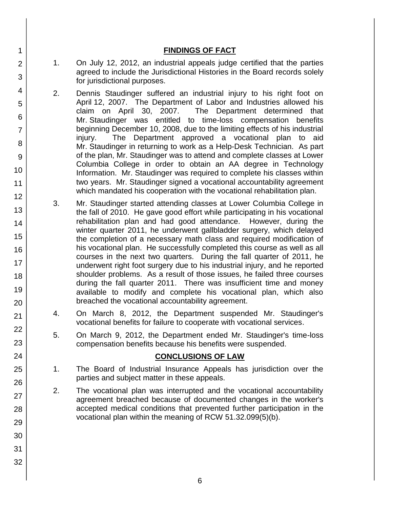#### **FINDINGS OF FACT**

- 1. On July 12, 2012, an industrial appeals judge certified that the parties agreed to include the Jurisdictional Histories in the Board records solely for jurisdictional purposes.
- 2. Dennis Staudinger suffered an industrial injury to his right foot on April 12, 2007. The Department of Labor and Industries allowed his claim on April 30, 2007. The Department determined that Mr. Staudinger was entitled to time-loss compensation benefits beginning December 10, 2008, due to the limiting effects of his industrial injury. The Department approved a vocational plan to aid Mr. Staudinger in returning to work as a Help-Desk Technician. As part of the plan, Mr. Staudinger was to attend and complete classes at Lower Columbia College in order to obtain an AA degree in Technology Information. Mr. Staudinger was required to complete his classes within two years. Mr. Staudinger signed a vocational accountability agreement which mandated his cooperation with the vocational rehabilitation plan.
- 3. Mr. Staudinger started attending classes at Lower Columbia College in the fall of 2010. He gave good effort while participating in his vocational rehabilitation plan and had good attendance. However, during the winter quarter 2011, he underwent gallbladder surgery, which delayed the completion of a necessary math class and required modification of his vocational plan. He successfully completed this course as well as all courses in the next two quarters. During the fall quarter of 2011, he underwent right foot surgery due to his industrial injury, and he reported shoulder problems. As a result of those issues, he failed three courses during the fall quarter 2011. There was insufficient time and money available to modify and complete his vocational plan, which also breached the vocational accountability agreement.
- 4. On March 8, 2012, the Department suspended Mr. Staudinger's vocational benefits for failure to cooperate with vocational services.
- 5. On March 9, 2012, the Department ended Mr. Staudinger's time-loss compensation benefits because his benefits were suspended.

#### **CONCLUSIONS OF LAW**

- 1. The Board of Industrial Insurance Appeals has jurisdiction over the parties and subject matter in these appeals.
- 2. The vocational plan was interrupted and the vocational accountability agreement breached because of documented changes in the worker's accepted medical conditions that prevented further participation in the vocational plan within the meaning of RCW 51.32.099(5)(b).
- 3 4 5 6 7 8 9 10 11 12 13 14 15 16 17 18 19 20 21 22 23 24 25 26 27 28 29 30 31 32

1